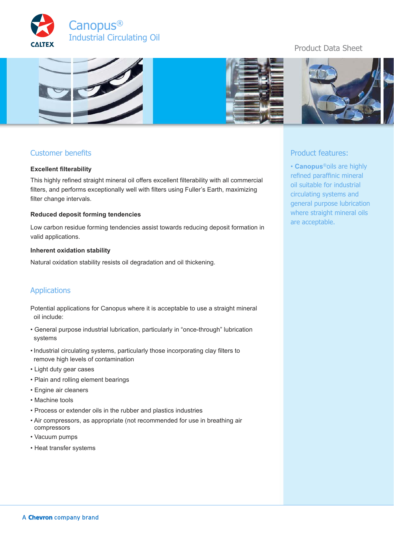



## Customer benefits

### **Excellent filterability**

This highly refined straight mineral oil offers excellent filterability with all commercial filters, and performs exceptionally well with filters using Fuller's Earth, maximizing filter change intervals.

### **Reduced deposit forming tendencies**

Low carbon residue forming tendencies assist towards reducing deposit formation in valid applications.

#### **Inherent oxidation stability**

Natural oxidation stability resists oil degradation and oil thickening.

## Applications

Potential applications for Canopus where it is acceptable to use a straight mineral oil include:

- General purpose industrial lubrication, particularly in "once-through" lubrication systems
- Industrial circulating systems, particularly those incorporating clay filters to remove high levels of contamination
- Light duty gear cases
- Plain and rolling element bearings
- Engine air cleaners
- Machine tools
- Process or extender oils in the rubber and plastics industries
- Air compressors, as appropriate (not recommended for use in breathing air compressors
- Vacuum pumps
- Heat transfer systems

# Product Data Sheet





## Product features:

• **Canopus**®oils are highly refined paraffinic mineral oil suitable for industrial circulating systems and general purpose lubrication where straight mineral oils are acceptable.